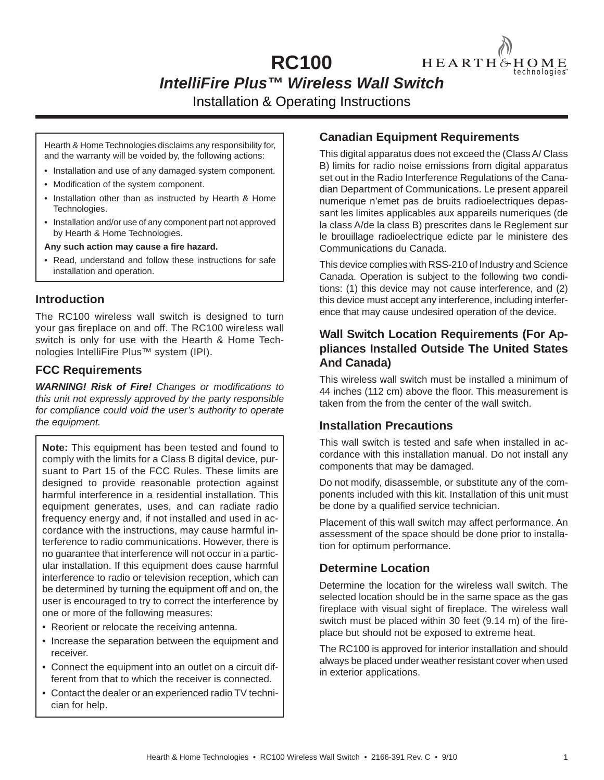# **RC100** HEARTH&HOME *IntelliFire Plus™ Wireless Wall Switch*  Installation & Operating Instructions

Hearth & Home Technologies disclaims any responsibility for, and the warranty will be voided by, the following actions:

- Installation and use of any damaged system component.
- Modification of the system component.
- Installation other than as instructed by Hearth & Home Technologies.
- Installation and/or use of any component part not approved by Hearth & Home Technologies.

Any such action may cause a fire hazard.

• Read, understand and follow these instructions for safe installation and operation.

#### **Introduction**

The RC100 wireless wall switch is designed to turn your gas fireplace on and off. The RC100 wireless wall switch is only for use with the Hearth & Home Technologies IntelliFire Plus™ system (IPI).

#### **FCC Requirements**

*WARNING! Risk of Fire! Changes or modifications to this unit not expressly approved by the party responsible for compliance could void the user's authority to operate the equipment.*

**Note:** This equipment has been tested and found to comply with the limits for a Class B digital device, pursuant to Part 15 of the FCC Rules. These limits are designed to provide reasonable protection against harmful interference in a residential installation. This equipment generates, uses, and can radiate radio frequency energy and, if not installed and used in accordance with the instructions, may cause harmful interference to radio communications. However, there is no guarantee that interference will not occur in a particular installation. If this equipment does cause harmful interference to radio or television reception, which can be determined by turning the equipment off and on, the user is encouraged to try to correct the interference by one or more of the following measures:

- Reorient or relocate the receiving antenna.
- Increase the separation between the equipment and receiver.
- Connect the equipment into an outlet on a circuit different from that to which the receiver is connected.
- Contact the dealer or an experienced radio TV technician for help.

### **Canadian Equipment Requirements**

This digital apparatus does not exceed the (Class A/ Class B) limits for radio noise emissions from digital apparatus set out in the Radio Interference Regulations of the Canadian Department of Communications. Le present appareil numerique n'emet pas de bruits radioelectriques depassant les limites applicables aux appareils numeriques (de la class A/de la class B) prescrites dans le Reglement sur le brouillage radioelectrique edicte par le ministere des Communications du Canada.

echnologies

This device complies with RSS-210 of Industry and Science Canada. Operation is subject to the following two conditions: (1) this device may not cause interference, and (2) this device must accept any interference, including interference that may cause undesired operation of the device.

## **Wall Switch Location Requirements (For Appliances Installed Outside The United States And Canada)**

This wireless wall switch must be installed a minimum of 44 inches (112 cm) above the floor. This measurement is taken from the from the center of the wall switch.

#### **Installation Precautions**

This wall switch is tested and safe when installed in accordance with this installation manual. Do not install any components that may be damaged.

Do not modify, disassemble, or substitute any of the components included with this kit. Installation of this unit must be done by a qualified service technician.

Placement of this wall switch may affect performance. An assessment of the space should be done prior to installation for optimum performance.

## **Determine Location**

Determine the location for the wireless wall switch. The selected location should be in the same space as the gas fireplace with visual sight of fireplace. The wireless wall switch must be placed within 30 feet  $(9.14 \text{ m})$  of the fireplace but should not be exposed to extreme heat.

The RC100 is approved for interior installation and should always be placed under weather resistant cover when used in exterior applications.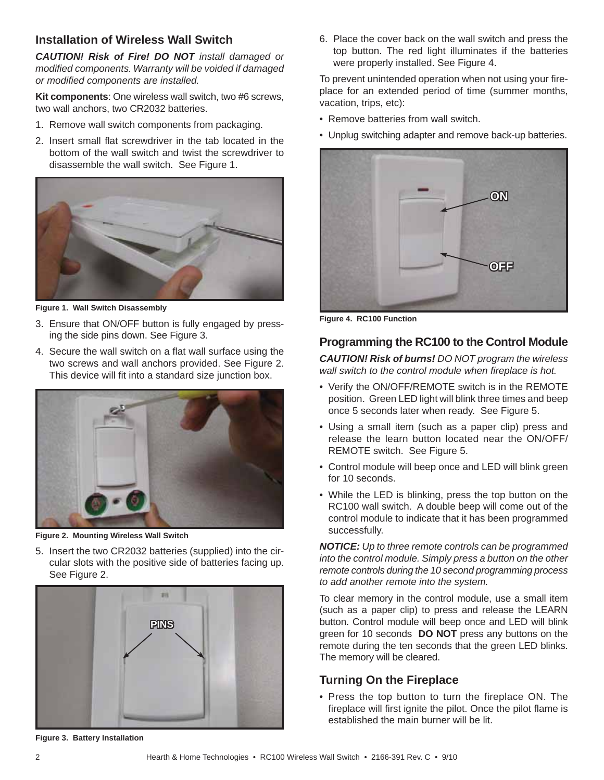## **Installation of Wireless Wall Switch**

*CAUTION! Risk of Fire! DO NOT install damaged or modifi ed components. Warranty will be voided if damaged or modifi ed components are installed.*

**Kit components**: One wireless wall switch, two #6 screws, two wall anchors, two CR2032 batteries.

- 1. Remove wall switch components from packaging.
- 2. Insert small flat screwdriver in the tab located in the bottom of the wall switch and twist the screwdriver to disassemble the wall switch. See Figure 1.



**Figure 1. Wall Switch Disassembly**

- 3. Ensure that ON/OFF button is fully engaged by pressing the side pins down. See Figure 3.
- 4. Secure the wall switch on a flat wall surface using the two screws and wall anchors provided. See Figure 2. This device will fit into a standard size junction box.



**Figure 2. Mounting Wireless Wall Switch**

5. Insert the two CR2032 batteries (supplied) into the circular slots with the positive side of batteries facing up. See Figure 2.



**Figure 3. Battery Installation**

6. Place the cover back on the wall switch and press the top button. The red light illuminates if the batteries were properly installed. See Figure 4.

To prevent unintended operation when not using your fireplace for an extended period of time (summer months, vacation, trips, etc):

- Remove batteries from wall switch.
- Unplug switching adapter and remove back-up batteries.



**Figure 4. RC100 Function**

### **Programming the RC100 to the Control Module**

*CAUTION! Risk of burns! DO NOT program the wireless wall switch to the control module when fireplace is hot.* 

- Verify the ON/OFF/REMOTE switch is in the REMOTE position. Green LED light will blink three times and beep once 5 seconds later when ready. See Figure 5.
- Using a small item (such as a paper clip) press and release the learn button located near the ON/OFF/ REMOTE switch. See Figure 5.
- Control module will beep once and LED will blink green for 10 seconds.
- While the LED is blinking, press the top button on the RC100 wall switch. A double beep will come out of the control module to indicate that it has been programmed successfully.

*NOTICE: Up to three remote controls can be programmed into the control module. Simply press a button on the other remote controls during the 10 second programming process to add another remote into the system.*

To clear memory in the control module, use a small item (such as a paper clip) to press and release the LEARN button. Control module will beep once and LED will blink green for 10 seconds **DO NOT** press any buttons on the remote during the ten seconds that the green LED blinks. The memory will be cleared.

## **Turning On the Fireplace**

• Press the top button to turn the fireplace ON. The fireplace will first ignite the pilot. Once the pilot flame is established the main burner will be lit.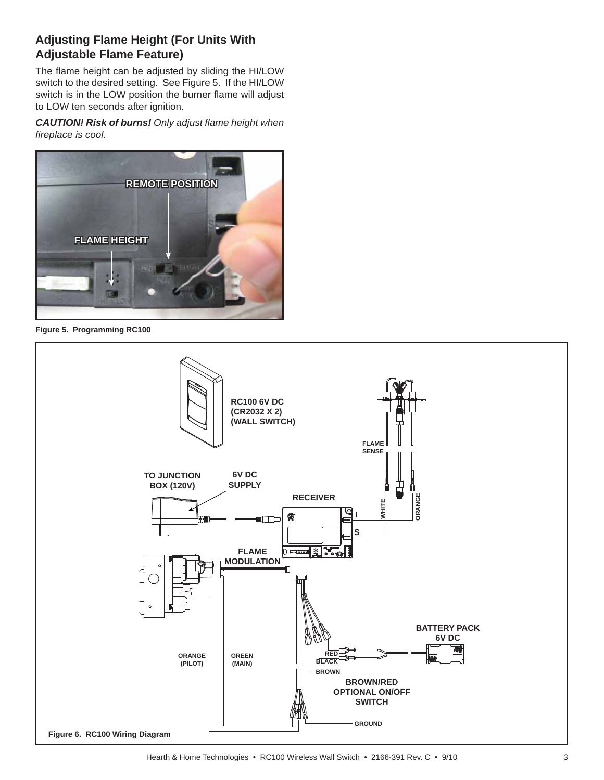# **Adjusting Flame Height (For Units With Adjustable Flame Feature)**

The flame height can be adjusted by sliding the HI/LOW switch to the desired setting. See Figure 5. If the HI/LOW switch is in the LOW position the burner flame will adjust to LOW ten seconds after ignition.

*CAUTION! Risk of burns! Only adjust fl ame height when fi replace is cool.*



**Figure 5. Programming RC100**